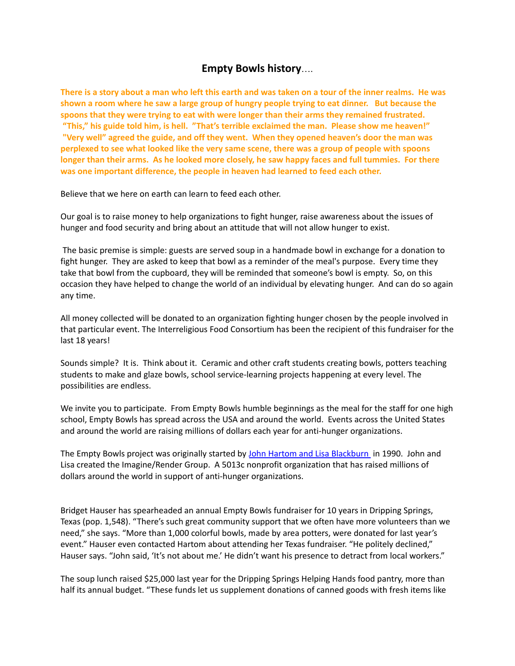## **Empty Bowls history**….

There is a story about a man who left this earth and was taken on a tour of the inner realms. He was shown a room where he saw a large group of hungry people trying to eat dinner. But because the **spoons that they were trying to eat with were longer than their arms they remained frustrated. "This," his guide told him, is hell. "That's terrible exclaimed the man. Please show me heaven!" "Very well" agreed the guide, and off they went. When they opened heaven's door the man was perplexed to see what looked like the very same scene, there was a group of people with spoons longer than their arms. As he looked more closely, he saw happy faces and full tummies. For there was one important difference, the people in heaven had learned to feed each other.**

Believe that we here on earth can learn to feed each other.

Our goal is to raise money to help organizations to fight hunger, raise awareness about the issues of hunger and food security and bring about an attitude that will not allow hunger to exist.

The basic premise is simple: guests are served soup in a handmade bowl in exchange for a donation to fight hunger. They are asked to keep that bowl as a reminder of the meal's purpose. Every time they take that bowl from the cupboard, they will be reminded that someone's bowl is empty. So, on this occasion they have helped to change the world of an individual by elevating hunger. And can do so again any time.

All money collected will be donated to an organization fighting hunger chosen by the people involved in that particular event. The Interreligious Food Consortium has been the recipient of this fundraiser for the last 18 years!

Sounds simple? It is. Think about it. Ceramic and other craft students creating bowls, potters teaching students to make and glaze bowls, school service-learning projects happening at every level. The possibilities are endless.

We invite you to participate. From Empty Bowls humble beginnings as the meal for the staff for one high school, Empty Bowls has spread across the USA and around the world. Events across the United States and around the world are raising millions of dollars each year for anti-hunger organizations.

The Empty Bowls project was originally started by John Hartom and Lisa [Blackburn](http://emptybowls.com/john-hartom-empty-bowls/) in 1990. John and Lisa created the Imagine/Render Group. A 5013c nonprofit organization that has raised millions of dollars around the world in support of anti-hunger organizations.

Bridget Hauser has spearheaded an annual Empty Bowls fundraiser for 10 years in Dripping Springs, Texas (pop. 1,548). "There's such great community support that we often have more volunteers than we need," she says. "More than 1,000 colorful bowls, made by area potters, were donated for last year's event." Hauser even contacted Hartom about attending her Texas fundraiser. "He politely declined," Hauser says. "John said, 'It's not about me.' He didn't want his presence to detract from local workers."

The soup lunch raised \$25,000 last year for the Dripping Springs Helping Hands food pantry, more than half its annual budget. "These funds let us supplement donations of canned goods with fresh items like